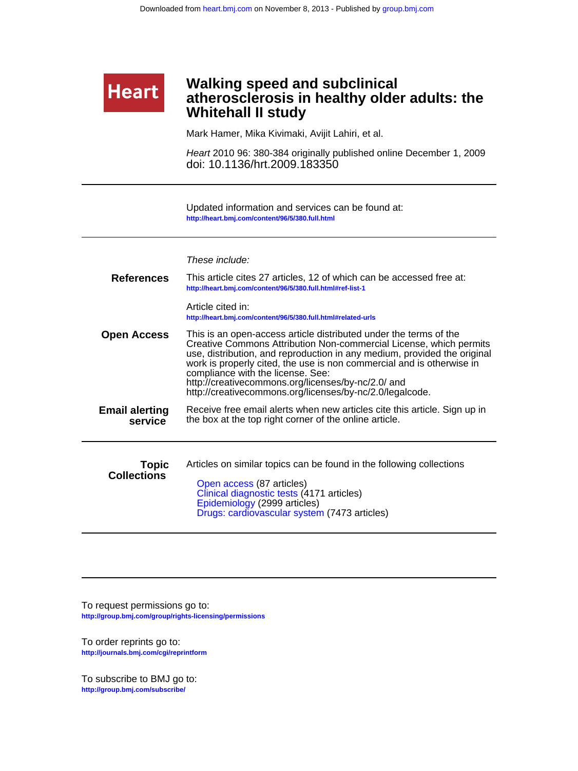# **Walking speed and subclinical Heart atherosclerosis in healthy older adults: the Whitehall II study**

Mark Hamer, Mika Kivimaki, Avijit Lahiri, et al.

doi: 10.1136/hrt.2009.183350 Heart 2010 96: 380-384 originally published online December 1, 2009

**<http://heart.bmj.com/content/96/5/380.full.html>** Updated information and services can be found at:

These include:

| <b>References</b>                  | This article cites 27 articles, 12 of which can be accessed free at:<br>http://heart.bmj.com/content/96/5/380.full.html#ref-list-1                                                                                                                                                                                                                                                                                                                  |
|------------------------------------|-----------------------------------------------------------------------------------------------------------------------------------------------------------------------------------------------------------------------------------------------------------------------------------------------------------------------------------------------------------------------------------------------------------------------------------------------------|
|                                    | Article cited in:<br>http://heart.bmj.com/content/96/5/380.full.html#related-urls                                                                                                                                                                                                                                                                                                                                                                   |
| <b>Open Access</b>                 | This is an open-access article distributed under the terms of the<br>Creative Commons Attribution Non-commercial License, which permits<br>use, distribution, and reproduction in any medium, provided the original<br>work is properly cited, the use is non commercial and is otherwise in<br>compliance with the license. See:<br>http://creativecommons.org/licenses/by-nc/2.0/ and<br>http://creativecommons.org/licenses/by-nc/2.0/legalcode. |
| <b>Email alerting</b><br>service   | Receive free email alerts when new articles cite this article. Sign up in<br>the box at the top right corner of the online article.                                                                                                                                                                                                                                                                                                                 |
| <b>Topic</b><br><b>Collections</b> | Articles on similar topics can be found in the following collections<br>Open access (87 articles)<br>Clinical diagnostic tests (4171 articles)<br>Epidemiology (2999 articles)<br>Drugs: cardiovascular system (7473 articles)                                                                                                                                                                                                                      |

**<http://group.bmj.com/group/rights-licensing/permissions>** To request permissions go to:

**<http://journals.bmj.com/cgi/reprintform>** To order reprints go to:

**<http://group.bmj.com/subscribe/>** To subscribe to BMJ go to: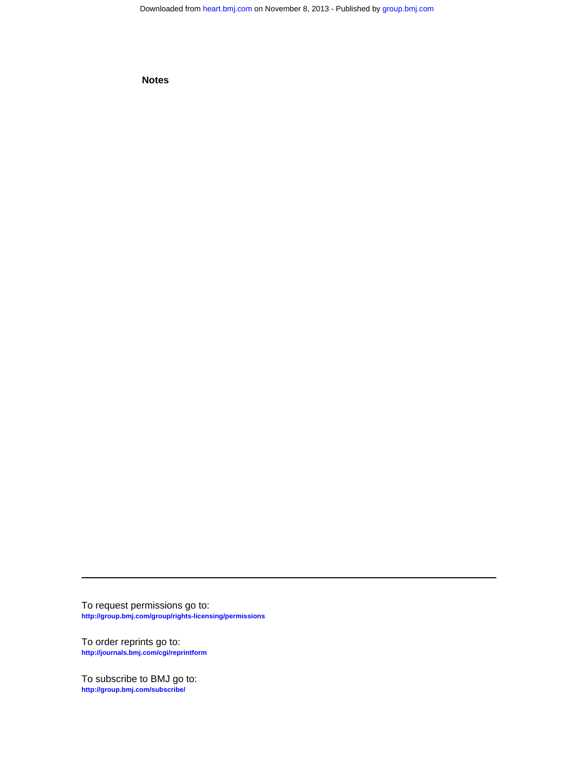**Notes**

**<http://group.bmj.com/group/rights-licensing/permissions>** To request permissions go to:

**<http://journals.bmj.com/cgi/reprintform>** To order reprints go to:

**<http://group.bmj.com/subscribe/>** To subscribe to BMJ go to: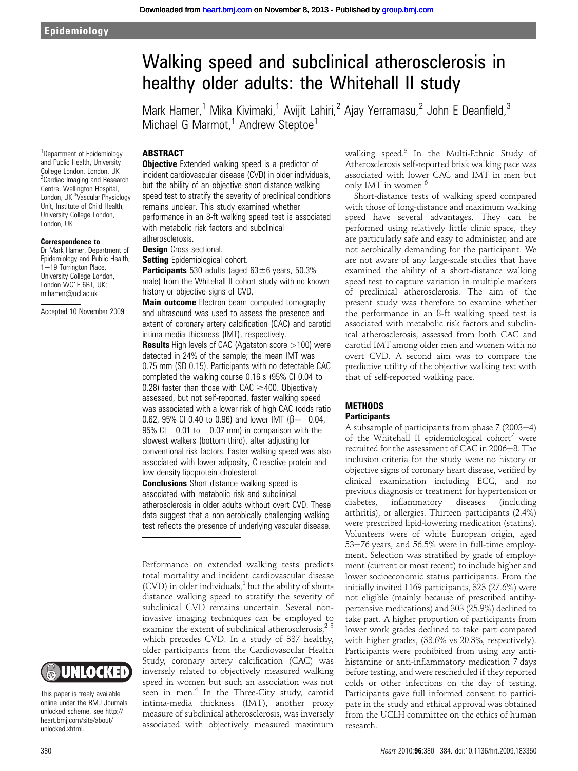# Walking speed and subclinical atherosclerosis in healthy older adults: the Whitehall II study

Mark Hamer,<sup>1</sup> Mika Kivimaki,<sup>1</sup> Avijit Lahiri,<sup>2</sup> Ajay Yerramasu,<sup>2</sup> John E Deanfield,<sup>3</sup> Michael G Marmot,<sup>1</sup> Andrew Steptoe<sup>1</sup>

# **ABSTRACT**

**Objective** Extended walking speed is a predictor of incident cardiovascular disease (CVD) in older individuals, but the ability of an objective short-distance walking speed test to stratify the severity of preclinical conditions remains unclear. This study examined whether performance in an 8-ft walking speed test is associated with metabolic risk factors and subclinical atherosclerosis.

Design Cross-sectional.

**Setting** Epidemiological cohort.

**Participants** 530 adults (aged  $63\pm6$  years, 50.3% male) from the Whitehall II cohort study with no known history or objective signs of CVD.

**Main outcome** Electron beam computed tomography and ultrasound was used to assess the presence and extent of coronary artery calcification (CAC) and carotid intima-media thickness (IMT), respectively. **Results** High levels of CAC (Agatston score >100) were

detected in 24% of the sample; the mean IMT was 0.75 mm (SD 0.15). Participants with no detectable CAC completed the walking course 0.16 s (95% CI 0.04 to 0.28) faster than those with  $CAC \geq 400$ . Objectively assessed, but not self-reported, faster walking speed was associated with a lower risk of high CAC (odds ratio 0.62, 95% CI 0.40 to 0.96) and lower IMT ( $\beta = -0.04$ ,  $95\%$  CI  $-0.01$  to  $-0.07$  mm) in comparison with the slowest walkers (bottom third), after adjusting for conventional risk factors. Faster walking speed was also associated with lower adiposity, C-reactive protein and low-density lipoprotein cholesterol.

**Conclusions** Short-distance walking speed is associated with metabolic risk and subclinical atherosclerosis in older adults without overt CVD. These data suggest that a non-aerobically challenging walking test reflects the presence of underlying vascular disease.

Performance on extended walking tests predicts total mortality and incident cardiovascular disease (CVD) in older individuals, $<sup>1</sup>$  but the ability of short-</sup> distance walking speed to stratify the severity of subclinical CVD remains uncertain. Several noninvasive imaging techniques can be employed to examine the extent of subclinical atherosclerosis, $23$ which precedes CVD. In a study of 387 healthy, older participants from the Cardiovascular Health Study, coronary artery calcification (CAC) was inversely related to objectively measured walking speed in women but such an association was not seen in men.<sup>4</sup> In the Three-City study, carotid intima-media thickness (IMT), another proxy measure of subclinical atherosclerosis, was inversely associated with objectively measured maximum walking speed.<sup>5</sup> In the Multi-Ethnic Study of Atherosclerosis self-reported brisk walking pace was associated with lower CAC and IMT in men but only IMT in women.<sup>6</sup>

Short-distance tests of walking speed compared with those of long-distance and maximum walking speed have several advantages. They can be performed using relatively little clinic space, they are particularly safe and easy to administer, and are not aerobically demanding for the participant. We are not aware of any large-scale studies that have examined the ability of a short-distance walking speed test to capture variation in multiple markers of preclinical atherosclerosis. The aim of the present study was therefore to examine whether the performance in an 8-ft walking speed test is associated with metabolic risk factors and subclinical atherosclerosis, assessed from both CAC and carotid IMT among older men and women with no overt CVD. A second aim was to compare the predictive utility of the objective walking test with that of self-reported walking pace.

## METHODS **Participants**

A subsample of participants from phase  $7(2003-4)$ of the Whitehall II epidemiological cohort<sup>7</sup> were recruited for the assessment of CAC in 2006-8. The inclusion criteria for the study were no history or objective signs of coronary heart disease, verified by clinical examination including ECG, and no previous diagnosis or treatment for hypertension or diabetes, inflammatory diseases (including arthritis), or allergies. Thirteen participants (2.4%) were prescribed lipid-lowering medication (statins). Volunteers were of white European origin, aged  $53-76$  years, and  $56.5\%$  were in full-time employment. Selection was stratified by grade of employment (current or most recent) to include higher and lower socioeconomic status participants. From the initially invited 1169 participants, 323 (27.6%) were not eligible (mainly because of prescribed antihypertensive medications) and 303 (25.9%) declined to take part. A higher proportion of participants from lower work grades declined to take part compared with higher grades, (38.6% vs 20.3%, respectively). Participants were prohibited from using any antihistamine or anti-inflammatory medication 7 days before testing, and were rescheduled if they reported colds or other infections on the day of testing. Participants gave full informed consent to participate in the study and ethical approval was obtained from the UCLH committee on the ethics of human research.

<sup>1</sup>Department of Epidemiology and Public Health, University College London, London, UK <sup>2</sup> Cardiac Imaging and Research Centre, Wellington Hospital, London, UK <sup>3</sup>Vascular Physiology Unit, Institute of Child Health, University College London, London, UK

#### Correspondence to

Dr Mark Hamer, Department of Epidemiology and Public Health, 1-19 Torrington Place, University College London, London WC1E 6BT, UK; m.hamer@ucl.ac.uk

Accepted 10 November 2009



This paper is freely available online under the BMJ Journals unlocked scheme, see http:// heart.bmj.com/site/about/ unlocked.xhtml.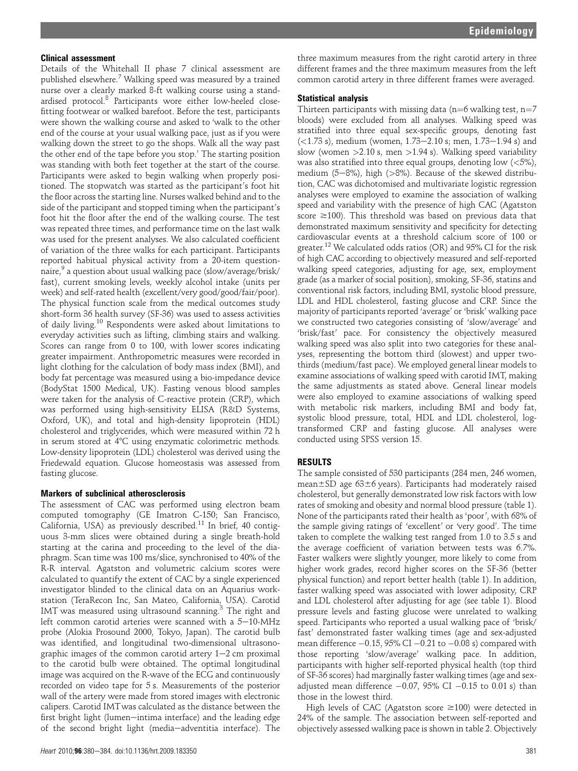# Epidemiology

### Clinical assessment

Details of the Whitehall II phase 7 clinical assessment are published elsewhere.<sup>7</sup> Walking speed was measured by a trained nurse over a clearly marked 8-ft walking course using a standardised protocol.<sup>8</sup> Participants wore either low-heeled closefitting footwear or walked barefoot. Before the test, participants were shown the walking course and asked to 'walk to the other end of the course at your usual walking pace, just as if you were walking down the street to go the shops. Walk all the way past the other end of the tape before you stop.' The starting position was standing with both feet together at the start of the course. Participants were asked to begin walking when properly positioned. The stopwatch was started as the participant's foot hit the floor across the starting line. Nurses walked behind and to the side of the participant and stopped timing when the participant's foot hit the floor after the end of the walking course. The test was repeated three times, and performance time on the last walk was used for the present analyses. We also calculated coefficient of variation of the three walks for each participant. Participants reported habitual physical activity from a 20-item questionnaire,<sup>9</sup> a question about usual walking pace (slow/average/brisk/ fast), current smoking levels, weekly alcohol intake (units per week) and self-rated health (excellent/very good/good/fair/poor). The physical function scale from the medical outcomes study short-form 36 health survey (SF-36) was used to assess activities of daily living.<sup>10</sup> Respondents were asked about limitations to everyday activities such as lifting, climbing stairs and walking. Scores can range from 0 to 100, with lower scores indicating greater impairment. Anthropometric measures were recorded in light clothing for the calculation of body mass index (BMI), and body fat percentage was measured using a bio-impedance device (BodyStat 1500 Medical, UK). Fasting venous blood samples were taken for the analysis of C-reactive protein (CRP), which was performed using high-sensitivity ELISA (R&D Systems, Oxford, UK), and total and high-density lipoprotein (HDL) cholesterol and triglycerides, which were measured within 72 h in serum stored at  $4^{\circ}$ C using enzymatic colorimetric methods. Low-density lipoprotein (LDL) cholesterol was derived using the Friedewald equation. Glucose homeostasis was assessed from fasting glucose.

## Markers of subclinical atherosclerosis

The assessment of CAC was performed using electron beam computed tomography (GE Imatron C-150; San Francisco, California, USA) as previously described.<sup>11</sup> In brief, 40 contiguous 3-mm slices were obtained during a single breath-hold starting at the carina and proceeding to the level of the diaphragm. Scan time was 100 ms/slice, synchronised to 40% of the R-R interval. Agatston and volumetric calcium scores were calculated to quantify the extent of CAC by a single experienced investigator blinded to the clinical data on an Aquarius workstation (TeraRecon Inc, San Mateo, California, USA). Carotid IMT was measured using ultrasound scanning. $^3$  The right and left common carotid arteries were scanned with a  $5-10$ -MHz probe (Alokia Prosound 2000, Tokyo, Japan). The carotid bulb was identified, and longitudinal two-dimensional ultrasonographic images of the common carotid artery  $1-2$  cm proximal to the carotid bulb were obtained. The optimal longitudinal image was acquired on the R-wave of the ECG and continuously recorded on video tape for 5 s. Measurements of the posterior wall of the artery were made from stored images with electronic calipers. Carotid IMTwas calculated as the distance between the first bright light (lumen-intima interface) and the leading edge of the second bright light (media-adventitia interface). The three maximum measures from the right carotid artery in three different frames and the three maximum measures from the left common carotid artery in three different frames were averaged.

#### Statistical analysis

Thirteen participants with missing data (n=6 walking test, n=7 bloods) were excluded from all analyses. Walking speed was stratified into three equal sex-specific groups, denoting fast  $(<1.73$  s), medium (women,  $1.73-2.10$  s; men,  $1.73-1.94$  s) and slow (women  $>2.10$  s, men  $>1.94$  s). Walking speed variability was also stratified into three equal groups, denoting low (<5%), medium (5-8%), high ( $>8\%$ ). Because of the skewed distribution, CAC was dichotomised and multivariate logistic regression analyses were employed to examine the association of walking speed and variability with the presence of high CAC (Agatston score  $\geq$ 100). This threshold was based on previous data that demonstrated maximum sensitivity and specificity for detecting cardiovascular events at a threshold calcium score of 100 or greater.<sup>12</sup> We calculated odds ratios (OR) and 95% CI for the risk of high CAC according to objectively measured and self-reported walking speed categories, adjusting for age, sex, employment grade (as a marker of social position), smoking, SF-36, statins and conventional risk factors, including BMI, systolic blood pressure, LDL and HDL cholesterol, fasting glucose and CRP. Since the majority of participants reported 'average' or 'brisk' walking pace we constructed two categories consisting of 'slow/average' and 'brisk/fast' pace. For consistency the objectively measured walking speed was also split into two categories for these analyses, representing the bottom third (slowest) and upper twothirds (medium/fast pace). We employed general linear models to examine associations of walking speed with carotid IMT, making the same adjustments as stated above. General linear models were also employed to examine associations of walking speed with metabolic risk markers, including BMI and body fat, systolic blood pressure, total, HDL and LDL cholesterol, logtransformed CRP and fasting glucose. All analyses were conducted using SPSS version 15.

## RESULTS

The sample consisted of 530 participants (284 men, 246 women, mean $\pm$ SD age 63 $\pm$ 6 years). Participants had moderately raised cholesterol, but generally demonstrated low risk factors with low rates of smoking and obesity and normal blood pressure (table 1). None of the participants rated their health as 'poor', with 68% of the sample giving ratings of 'excellent' or 'very good'. The time taken to complete the walking test ranged from 1.0 to 3.5 s and the average coefficient of variation between tests was 6.7%. Faster walkers were slightly younger, more likely to come from higher work grades, record higher scores on the SF-36 (better physical function) and report better health (table 1). In addition, faster walking speed was associated with lower adiposity, CRP and LDL cholesterol after adjusting for age (see table 1). Blood pressure levels and fasting glucose were unrelated to walking speed. Participants who reported a usual walking pace of 'brisk/ fast' demonstrated faster walking times (age and sex-adjusted mean difference  $-0.15$ , 95% CI  $-0.21$  to  $-0.08$  s) compared with those reporting 'slow/average' walking pace. In addition, participants with higher self-reported physical health (top third of SF-36 scores) had marginally faster walking times (age and sexadjusted mean difference  $-0.07$ , 95% CI  $-0.15$  to 0.01 s) than those in the lowest third.

High levels of CAC (Agatston score  $\geq$ 100) were detected in 24% of the sample. The association between self-reported and objectively assessed walking pace is shown in table 2. Objectively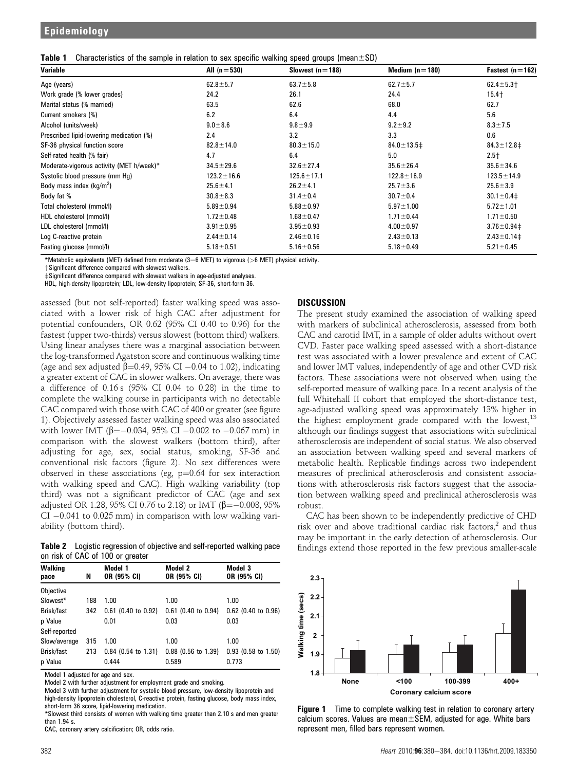|  |  | <b>Table 1</b> Characteristics of the sample in relation to sex specific walking speed groups (mean $\pm$ SD) |  |  |  |  |
|--|--|---------------------------------------------------------------------------------------------------------------|--|--|--|--|
|--|--|---------------------------------------------------------------------------------------------------------------|--|--|--|--|

| Variable                                 | All $(n = 530)$  | Slowest $(n=188)$ | Medium $(n=180)$    | Fastest $(n=162)$   |
|------------------------------------------|------------------|-------------------|---------------------|---------------------|
| Age (years)                              | $62.8 \pm 5.7$   | $63.7 \pm 5.8$    | $62.7 \pm 5.7$      | $62.4 \pm 5.3 +$    |
| Work grade (% lower grades)              | 24.2             | 26.1              | 24.4                | $15.4 +$            |
| Marital status (% married)               | 63.5             | 62.6              | 68.0                | 62.7                |
| Current smokers (%)                      | 6.2              | 6.4               | 4.4                 | 5.6                 |
| Alcohol (units/week)                     | $9.0 + 8.6$      | $9.8 + 9.9$       | $9.2 \pm 9.2$       | $8.3 \pm 7.5$       |
| Prescribed lipid-lowering medication (%) | 2.4              | 3.2               | 3.3                 | 0.6                 |
| SF-36 physical function score            | $82.8 \pm 14.0$  | $80.3 \pm 15.0$   | $84.0 \pm 13.5 \pm$ | $84.3 \pm 12.8 \pm$ |
| Self-rated health (% fair)               | 4.7              | 6.4               | 5.0                 | $2.5+$              |
| Moderate-vigorous activity (MET h/week)* | $34.5 \pm 29.6$  | $32.6 \pm 27.4$   | $35.6 \pm 26.4$     | $35.6 \pm 34.6$     |
| Systolic blood pressure (mm Hg)          | $123.2 \pm 16.6$ | $125.6 \pm 17.1$  | $122.8 \pm 16.9$    | $123.5 \pm 14.9$    |
| Body mass index $(kq/m^2)$               | $25.6 \pm 4.1$   | $26.2 \pm 4.1$    | $25.7 \pm 3.6$      | $25.6 \pm 3.9$      |
| Body fat %                               | $30.8 + 8.3$     | $31.4 \pm 0.4$    | $30.7 \pm 0.4$      | $30.1 \pm 0.4 \pm$  |
| Total cholesterol (mmol/l)               | $5.89 \pm 0.94$  | $5.88 \pm 0.97$   | $5.97 \pm 1.00$     | $5.72 \pm 1.01$     |
| HDL cholesterol (mmol/l)                 | $1.72 \pm 0.48$  | $1.68 \pm 0.47$   | $1.71 \pm 0.44$     | $1.71 \pm 0.50$     |
| LDL cholesterol (mmol/l)                 | $3.91 \pm 0.95$  | $3.95 \pm 0.93$   | $4.00 \pm 0.97$     | $3.76 \pm 0.94 \pm$ |
| Log C-reactive protein                   | $2.44 \pm 0.14$  | $2.46 \pm 0.16$   | $2.43 \pm 0.13$     | $2.43 \pm 0.14 \pm$ |
| Fasting glucose (mmol/l)                 | $5.18 \pm 0.51$  | $5.16 \pm 0.56$   | $5.18 \pm 0.49$     | $5.21 \pm 0.45$     |

\*Metabolic equivalents (MET) defined from moderate ( $3-6$  MET) to vigorous ( $>6$  MET) physical activity.

+ Significant difference compared with slowest walkers.

zSignificant difference compared with slowest walkers in age-adjusted analyses.

HDL, high-density lipoprotein; LDL, low-density lipoprotein; SF-36, short-form 36.

assessed (but not self-reported) faster walking speed was associated with a lower risk of high CAC after adjustment for potential confounders, OR 0.62 (95% CI 0.40 to 0.96) for the fastest (upper two-thirds) versus slowest (bottom third) walkers. Using linear analyses there was a marginal association between the log-transformed Agatston score and continuous walking time (age and sex adjusted  $\beta = 0.49$ , 95% CI  $-0.04$  to 1.02), indicating a greater extent of CAC in slower walkers. On average, there was a difference of 0.16 s (95% CI 0.04 to 0.28) in the time to complete the walking course in participants with no detectable CAC compared with those with CAC of 400 or greater (see figure 1). Objectively assessed faster walking speed was also associated with lower IMT ( $\beta = -0.034$ , 95% CI  $-0.002$  to  $-0.067$  mm) in comparison with the slowest walkers (bottom third), after adjusting for age, sex, social status, smoking, SF-36 and conventional risk factors (figure 2). No sex differences were observed in these associations (eg,  $p=0.64$  for sex interaction with walking speed and CAC). High walking variability (top third) was not a significant predictor of CAC (age and sex adjusted OR 1.28, 95% CI 0.76 to 2.18) or IMT ( $\beta = -0.008$ , 95%  $CI$   $-0.041$  to  $0.025$  mm) in comparison with low walking variability (bottom third).

Table 2 Logistic regression of objective and self-reported walking pace on risk of CAC of 100 or greater

| <b>Walking</b><br>pace | N   | Model 1<br>OR (95% CI) | Model 2<br>OR (95% CI) | Model 3<br>OR (95% CI) |
|------------------------|-----|------------------------|------------------------|------------------------|
|                        |     |                        |                        |                        |
| Objective              |     |                        |                        |                        |
| Slowest*               | 188 | 1.00                   | 1.00                   | 1.00                   |
| Brisk/fast             | 342 | $0.61$ (0.40 to 0.92)  | $0.61$ (0.40 to 0.94)  | $0.62$ (0.40 to 0.96)  |
| p Value                |     | 0.01                   | 0.03                   | 0.03                   |
| Self-reported          |     |                        |                        |                        |
| Slow/average           | 315 | 1.00                   | 1.00                   | 1.00                   |
| Brisk/fast             | 213 | $0.84$ (0.54 to 1.31)  | $0.88$ (0.56 to 1.39)  | $0.93$ (0.58 to 1.50)  |
| p Value                |     | 0.444                  | 0.589                  | 0.773                  |

Model 1 adjusted for age and sex.

Model 2 with further adjustment for employment grade and smoking.

Model 3 with further adjustment for systolic blood pressure, low-density lipoprotein and high-density lipoprotein cholesterol, C-reactive protein, fasting glucose, body mass index, short-form 36 score, lipid-lowering medication.

\*Slowest third consists of women with walking time greater than 2.10 s and men greater than 1.94 s.

CAC, coronary artery calcification; OR, odds ratio.

# **DISCUSSION**

The present study examined the association of walking speed with markers of subclinical atherosclerosis, assessed from both CAC and carotid IMT, in a sample of older adults without overt CVD. Faster pace walking speed assessed with a short-distance test was associated with a lower prevalence and extent of CAC and lower IMT values, independently of age and other CVD risk factors. These associations were not observed when using the self-reported measure of walking pace. In a recent analysis of the full Whitehall II cohort that employed the short-distance test, age-adjusted walking speed was approximately 13% higher in the highest employment grade compared with the lowest,<sup>13</sup> although our findings suggest that associations with subclinical atherosclerosis are independent of social status. We also observed an association between walking speed and several markers of metabolic health. Replicable findings across two independent measures of preclinical atherosclerosis and consistent associations with atherosclerosis risk factors suggest that the association between walking speed and preclinical atherosclerosis was robust.

CAC has been shown to be independently predictive of CHD risk over and above traditional cardiac risk factors.<sup>2</sup> and thus may be important in the early detection of atherosclerosis. Our findings extend those reported in the few previous smaller-scale



**Figure 1** Time to complete walking test in relation to coronary artery calcium scores. Values are mean $\pm$ SEM, adjusted for age. White bars represent men, filled bars represent women.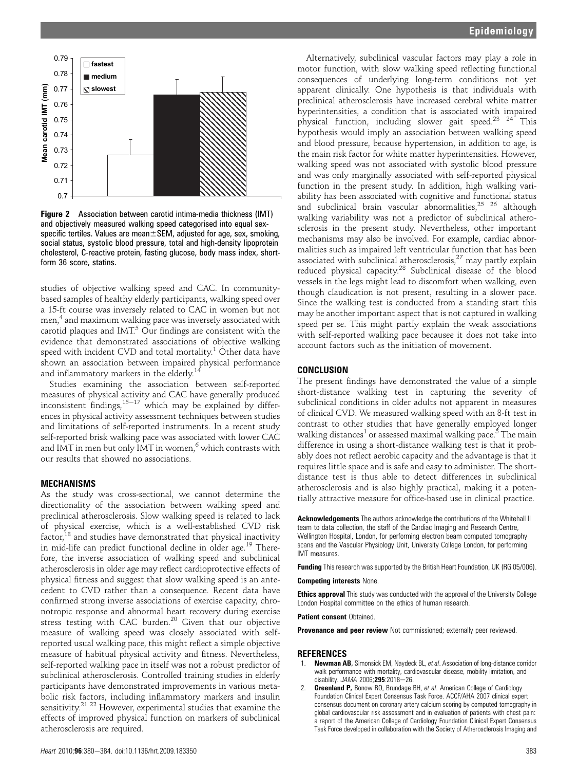

Figure 2 Association between carotid intima-media thickness (IMT) and objectively measured walking speed categorised into equal sexspecific tertiles. Values are mean $\pm$ SEM, adjusted for age, sex, smoking, social status, systolic blood pressure, total and high-density lipoprotein cholesterol, C-reactive protein, fasting glucose, body mass index, shortform 36 score, statins.

studies of objective walking speed and CAC. In communitybased samples of healthy elderly participants, walking speed over a 15-ft course was inversely related to CAC in women but not men,<sup>4</sup> and maximum walking pace was inversely associated with carotid plaques and  $IMT<sup>5</sup>$  Our findings are consistent with the evidence that demonstrated associations of objective walking speed with incident CVD and total mortality.<sup>1</sup> Other data have shown an association between impaired physical performance and inflammatory markers in the elderly.<sup>14</sup>

Studies examining the association between self-reported measures of physical activity and CAC have generally produced inconsistent findings,  $15-17$  which may be explained by differences in physical activity assessment techniques between studies and limitations of self-reported instruments. In a recent study self-reported brisk walking pace was associated with lower CAC and IMT in men but only IMT in women,<sup>6</sup> which contrasts with our results that showed no associations.

### MECHANISMS

As the study was cross-sectional, we cannot determine the directionality of the association between walking speed and preclinical atherosclerosis. Slow walking speed is related to lack of physical exercise, which is a well-established CVD risk factor,18 and studies have demonstrated that physical inactivity in mid-life can predict functional decline in older age.<sup>19</sup> Therefore, the inverse association of walking speed and subclinical atherosclerosis in older age may reflect cardioprotective effects of physical fitness and suggest that slow walking speed is an antecedent to CVD rather than a consequence. Recent data have confirmed strong inverse associations of exercise capacity, chronotropic response and abnormal heart recovery during exercise stress testing with CAC burden.<sup>20</sup> Given that our objective measure of walking speed was closely associated with selfreported usual walking pace, this might reflect a simple objective measure of habitual physical activity and fitness. Nevertheless, self-reported walking pace in itself was not a robust predictor of subclinical atherosclerosis. Controlled training studies in elderly participants have demonstrated improvements in various metabolic risk factors, including inflammatory markers and insulin sensitivity.<sup>21 22</sup> However, experimental studies that examine the effects of improved physical function on markers of subclinical atherosclerosis are required.

Alternatively, subclinical vascular factors may play a role in motor function, with slow walking speed reflecting functional consequences of underlying long-term conditions not yet apparent clinically. One hypothesis is that individuals with preclinical atherosclerosis have increased cerebral white matter hyperintensities, a condition that is associated with impaired physical function, including slower gait speed.<sup>23</sup> <sup>24</sup> This hypothesis would imply an association between walking speed and blood pressure, because hypertension, in addition to age, is the main risk factor for white matter hyperintensities. However, walking speed was not associated with systolic blood pressure and was only marginally associated with self-reported physical function in the present study. In addition, high walking variability has been associated with cognitive and functional status and subclinical brain vascular abnormalities,  $25 \frac{26}{5}$  although walking variability was not a predictor of subclinical atherosclerosis in the present study. Nevertheless, other important mechanisms may also be involved. For example, cardiac abnormalities such as impaired left ventricular function that has been associated with subclinical atherosclerosis, $27$  may partly explain reduced physical capacity.<sup>28</sup> Subclinical disease of the blood vessels in the legs might lead to discomfort when walking, even though claudication is not present, resulting in a slower pace. Since the walking test is conducted from a standing start this may be another important aspect that is not captured in walking speed per se. This might partly explain the weak associations with self-reported walking pace becausee it does not take into account factors such as the initiation of movement.

#### **CONCLUSION**

The present findings have demonstrated the value of a simple short-distance walking test in capturing the severity of subclinical conditions in older adults not apparent in measures of clinical CVD. We measured walking speed with an 8-ft test in contrast to other studies that have generally employed longer walking distances<sup>1</sup> or assessed maximal walking pace.<sup>5</sup> The main difference in using a short-distance walking test is that it probably does not reflect aerobic capacity and the advantage is that it requires little space and is safe and easy to administer. The shortdistance test is thus able to detect differences in subclinical atherosclerosis and is also highly practical, making it a potentially attractive measure for office-based use in clinical practice.

Acknowledgements The authors acknowledge the contributions of the Whitehall II team to data collection, the staff of the Cardiac Imaging and Research Centre, Wellington Hospital, London, for performing electron beam computed tomography scans and the Vascular Physiology Unit, University College London, for performing IMT measures.

Funding This research was supported by the British Heart Foundation, UK (RG 05/006).

Competing interests None.

**Ethics approval** This study was conducted with the approval of the University College London Hospital committee on the ethics of human research.

Patient consent Obtained

Provenance and peer review Not commissioned; externally peer reviewed.

#### REFERENCES

- Newman AB, Simonsick EM, Naydeck BL, et al. Association of long-distance corridor walk performance with mortality, cardiovascular disease, mobility limitation, and disability.  $JAMA$  2006; 295:2018-26.
- Greenland P, Bonow RO, Brundage BH, et al. American College of Cardiology Foundation Clinical Expert Consensus Task Force. ACCF/AHA 2007 clinical expert consensus document on coronary artery calcium scoring by computed tomography in global cardiovascular risk assessment and in evaluation of patients with chest pain: a report of the American College of Cardiology Foundation Clinical Expert Consensus Task Force developed in collaboration with the Society of Atherosclerosis Imaging and